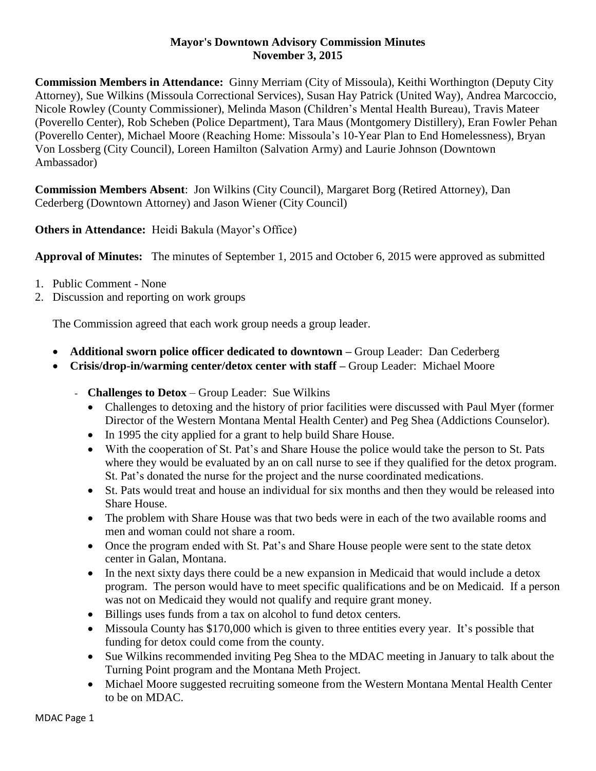## **Mayor's Downtown Advisory Commission Minutes November 3, 2015**

**Commission Members in Attendance:** Ginny Merriam (City of Missoula), Keithi Worthington (Deputy City Attorney), Sue Wilkins (Missoula Correctional Services), Susan Hay Patrick (United Way), Andrea Marcoccio, Nicole Rowley (County Commissioner), Melinda Mason (Children's Mental Health Bureau), Travis Mateer (Poverello Center), Rob Scheben (Police Department), Tara Maus (Montgomery Distillery), Eran Fowler Pehan (Poverello Center), Michael Moore (Reaching Home: Missoula's 10-Year Plan to End Homelessness), Bryan Von Lossberg (City Council), Loreen Hamilton (Salvation Army) and Laurie Johnson (Downtown Ambassador)

**Commission Members Absent**: Jon Wilkins (City Council), Margaret Borg (Retired Attorney), Dan Cederberg (Downtown Attorney) and Jason Wiener (City Council)

**Others in Attendance:** Heidi Bakula (Mayor's Office)

**Approval of Minutes:** The minutes of September 1, 2015 and October 6, 2015 were approved as submitted

- 1. Public Comment None
- 2. Discussion and reporting on work groups

The Commission agreed that each work group needs a group leader.

- **Additional sworn police officer dedicated to downtown –** Group Leader: Dan Cederberg
- **Crisis/drop-in/warming center/detox center with staff –** Group Leader: Michael Moore
	- **Challenges to Detox** Group Leader: Sue Wilkins
		- Challenges to detoxing and the history of prior facilities were discussed with Paul Myer (former Director of the Western Montana Mental Health Center) and Peg Shea (Addictions Counselor).
		- In 1995 the city applied for a grant to help build Share House.
		- With the cooperation of St. Pat's and Share House the police would take the person to St. Pats where they would be evaluated by an on call nurse to see if they qualified for the detox program. St. Pat's donated the nurse for the project and the nurse coordinated medications.
		- St. Pats would treat and house an individual for six months and then they would be released into Share House.
		- The problem with Share House was that two beds were in each of the two available rooms and men and woman could not share a room.
		- Once the program ended with St. Pat's and Share House people were sent to the state detox center in Galan, Montana.
		- In the next sixty days there could be a new expansion in Medicaid that would include a detox program. The person would have to meet specific qualifications and be on Medicaid. If a person was not on Medicaid they would not qualify and require grant money.
		- Billings uses funds from a tax on alcohol to fund detox centers.
		- Missoula County has \$170,000 which is given to three entities every year. It's possible that funding for detox could come from the county.
		- Sue Wilkins recommended inviting Peg Shea to the MDAC meeting in January to talk about the Turning Point program and the Montana Meth Project.
		- Michael Moore suggested recruiting someone from the Western Montana Mental Health Center to be on MDAC.